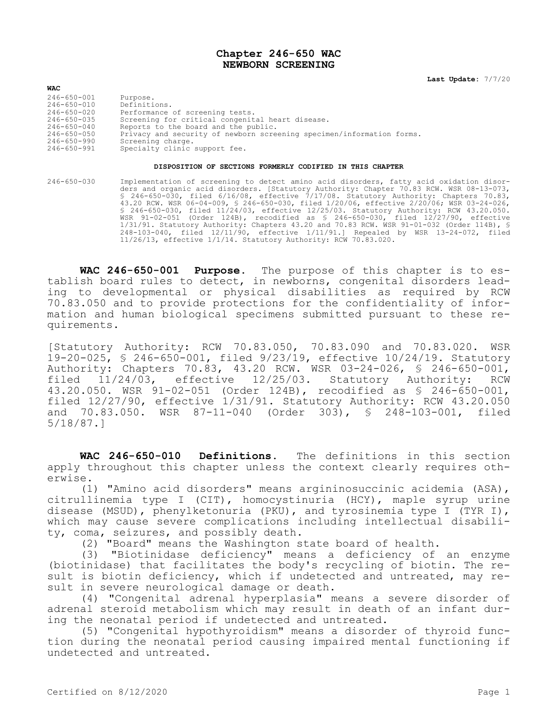## **Chapter 246-650 WAC NEWBORN SCREENING**

**Last Update:** 7/7/20

| <b>WAC</b>        |                                                                       |
|-------------------|-----------------------------------------------------------------------|
| $246 - 650 - 001$ | Purpose.                                                              |
| 246-650-010       | Definitions.                                                          |
| 246-650-020       | Performance of screening tests.                                       |
| $246 - 650 - 035$ | Screening for critical congenital heart disease.                      |
| $246 - 650 - 040$ | Reports to the board and the public.                                  |
| 246-650-050       | Privacy and security of newborn screening specimen/information forms. |
| $246 - 650 - 990$ | Screening charge.                                                     |
| 246-650-991       | Specialty clinic support fee.                                         |

## **DISPOSITION OF SECTIONS FORMERLY CODIFIED IN THIS CHAPTER**

246-650-030 Implementation of screening to detect amino acid disorders, fatty acid oxidation disorders and organic acid disorders. [Statutory Authority: Chapter 70.83 RCW. WSR 08-13-073, § 246-650-030, filed 6/16/08, effective 7/17/08. Statutory Authority: Chapters 70.83, 43.20 RCW. WSR 06-04-009, § 246-650-030, filed 1/20/06, effective 2/20/06; WSR 03-24-026, § 246-650-030, filed 11/24/03, effective 12/25/03. Statutory Authority: RCW 43.20.050. WSR 91-02-051 (Order 124B), recodified as § 246-650-030, filed 12/27/90, effective 1/31/91. Statutory Authority: Chapters 43.20 and 70.83 RCW. WSR 91-01-032 (Order 114B), § 248-103-040, filed 12/11/90, effective 1/11/91.] Repealed by WSR 13-24-072, filed 11/26/13, effective 1/1/14. Statutory Authority: RCW 70.83.020.

**WAC 246-650-001 Purpose.** The purpose of this chapter is to establish board rules to detect, in newborns, congenital disorders leading to developmental or physical disabilities as required by RCW 70.83.050 and to provide protections for the confidentiality of information and human biological specimens submitted pursuant to these requirements.

[Statutory Authority: RCW 70.83.050, 70.83.090 and 70.83.020. WSR 19-20-025, § 246-650-001, filed 9/23/19, effective 10/24/19. Statutory Authority: Chapters 70.83, 43.20 RCW. WSR 03-24-026, § 246-650-001, filed 11/24/03, effective 12/25/03. Statutory Authority: RCW 43.20.050. WSR 91-02-051 (Order 124B), recodified as § 246-650-001, filed 12/27/90, effective 1/31/91. Statutory Authority: RCW 43.20.050 and 70.83.050. WSR 87-11-040 (Order 303), § 248-103-001, filed 5/18/87.]

**WAC 246-650-010 Definitions.** The definitions in this section apply throughout this chapter unless the context clearly requires otherwise.

(1) "Amino acid disorders" means argininosuccinic acidemia (ASA), citrullinemia type I (CIT), homocystinuria (HCY), maple syrup urine disease (MSUD), phenylketonuria (PKU), and tyrosinemia type I (TYR I), which may cause severe complications including intellectual disability, coma, seizures, and possibly death.

(2) "Board" means the Washington state board of health.

(3) "Biotinidase deficiency" means a deficiency of an enzyme (biotinidase) that facilitates the body's recycling of biotin. The result is biotin deficiency, which if undetected and untreated, may result in severe neurological damage or death.

(4) "Congenital adrenal hyperplasia" means a severe disorder of adrenal steroid metabolism which may result in death of an infant during the neonatal period if undetected and untreated.

(5) "Congenital hypothyroidism" means a disorder of thyroid function during the neonatal period causing impaired mental functioning if undetected and untreated.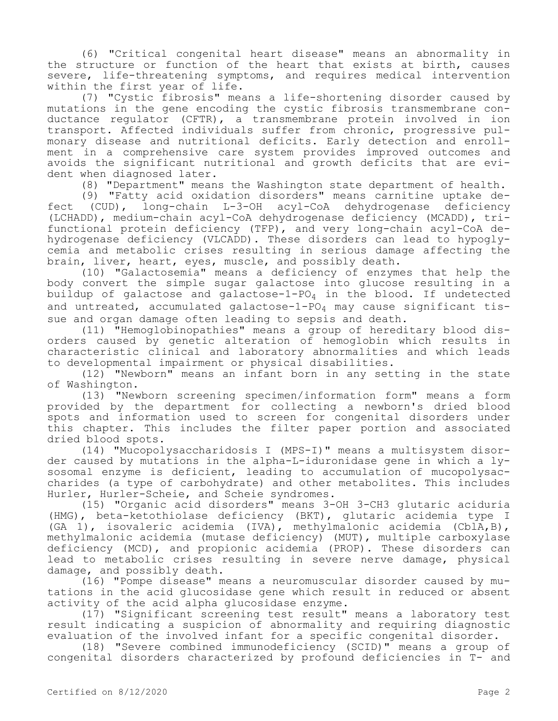(6) "Critical congenital heart disease" means an abnormality in the structure or function of the heart that exists at birth, causes severe, life-threatening symptoms, and requires medical intervention within the first year of life.

(7) "Cystic fibrosis" means a life-shortening disorder caused by mutations in the gene encoding the cystic fibrosis transmembrane conductance regulator (CFTR), a transmembrane protein involved in ion transport. Affected individuals suffer from chronic, progressive pulmonary disease and nutritional deficits. Early detection and enrollment in a comprehensive care system provides improved outcomes and avoids the significant nutritional and growth deficits that are evident when diagnosed later.

(8) "Department" means the Washington state department of health.

(9) "Fatty acid oxidation disorders" means carnitine uptake defect (CUD), long-chain L-3-OH acyl-CoA dehydrogenase deficiency (LCHADD), medium-chain acyl-CoA dehydrogenase deficiency (MCADD), trifunctional protein deficiency (TFP), and very long-chain acyl-CoA dehydrogenase deficiency (VLCADD). These disorders can lead to hypoglycemia and metabolic crises resulting in serious damage affecting the brain, liver, heart, eyes, muscle, and possibly death.

(10) "Galactosemia" means a deficiency of enzymes that help the body convert the simple sugar galactose into glucose resulting in a buildup of galactose and galactose-1-PO<sub>4</sub> in the blood. If undetected and untreated, accumulated galactose-1-PO<sub>4</sub> may cause significant tissue and organ damage often leading to sepsis and death.

(11) "Hemoglobinopathies" means a group of hereditary blood disorders caused by genetic alteration of hemoglobin which results in characteristic clinical and laboratory abnormalities and which leads to developmental impairment or physical disabilities.

(12) "Newborn" means an infant born in any setting in the state of Washington.

(13) "Newborn screening specimen/information form" means a form provided by the department for collecting a newborn's dried blood spots and information used to screen for congenital disorders under this chapter. This includes the filter paper portion and associated dried blood spots.

(14) "Mucopolysaccharidosis I (MPS-I)" means a multisystem disorder caused by mutations in the alpha-L-iduronidase gene in which a lysosomal enzyme is deficient, leading to accumulation of mucopolysaccharides (a type of carbohydrate) and other metabolites. This includes Hurler, Hurler-Scheie, and Scheie syndromes.

(15) "Organic acid disorders" means 3-OH 3-CH3 glutaric aciduria (HMG), beta-ketothiolase deficiency (BKT), glutaric acidemia type I (GA 1), isovaleric acidemia (IVA), methylmalonic acidemia (CblA,B), methylmalonic acidemia (mutase deficiency) (MUT), multiple carboxylase deficiency (MCD), and propionic acidemia (PROP). These disorders can lead to metabolic crises resulting in severe nerve damage, physical damage, and possibly death.

(16) "Pompe disease" means a neuromuscular disorder caused by mutations in the acid glucosidase gene which result in reduced or absent activity of the acid alpha glucosidase enzyme.

(17) "Significant screening test result" means a laboratory test result indicating a suspicion of abnormality and requiring diagnostic evaluation of the involved infant for a specific congenital disorder.

(18) "Severe combined immunodeficiency (SCID)" means a group of congenital disorders characterized by profound deficiencies in T- and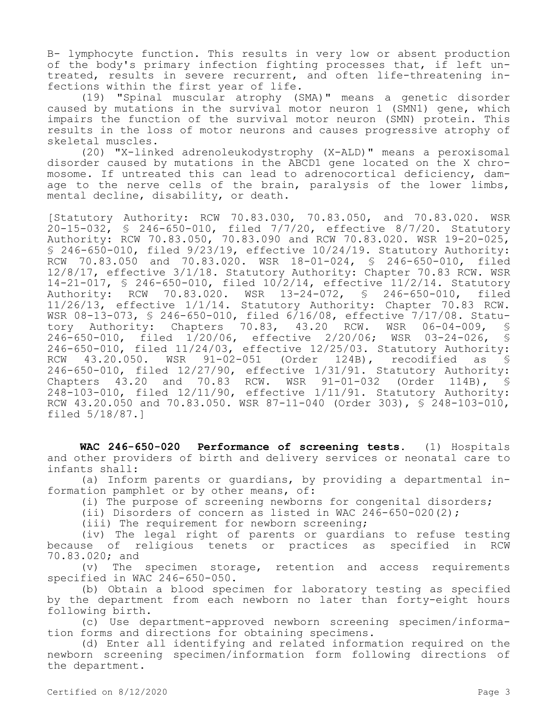B- lymphocyte function. This results in very low or absent production of the body's primary infection fighting processes that, if left untreated, results in severe recurrent, and often life-threatening infections within the first year of life.

(19) "Spinal muscular atrophy (SMA)" means a genetic disorder caused by mutations in the survival motor neuron 1 (SMN1) gene, which impairs the function of the survival motor neuron (SMN) protein. This results in the loss of motor neurons and causes progressive atrophy of skeletal muscles.

(20) "X-linked adrenoleukodystrophy (X-ALD)" means a peroxisomal disorder caused by mutations in the ABCD1 gene located on the X chromosome. If untreated this can lead to adrenocortical deficiency, damage to the nerve cells of the brain, paralysis of the lower limbs, mental decline, disability, or death.

[Statutory Authority: RCW 70.83.030, 70.83.050, and 70.83.020. WSR 20-15-032, § 246-650-010, filed 7/7/20, effective 8/7/20. Statutory Authority: RCW 70.83.050, 70.83.090 and RCW 70.83.020. WSR 19-20-025, § 246-650-010, filed 9/23/19, effective 10/24/19. Statutory Authority: RCW 70.83.050 and 70.83.020. WSR 18-01-024, § 246-650-010, filed 12/8/17, effective 3/1/18. Statutory Authority: Chapter 70.83 RCW. WSR 14-21-017, § 246-650-010, filed 10/2/14, effective 11/2/14. Statutory Authority: RCW 70.83.020. WSR 13-24-072, § 246-650-010, filed 11/26/13, effective 1/1/14. Statutory Authority: Chapter 70.83 RCW. WSR 08-13-073, § 246-650-010, filed 6/16/08, effective 7/17/08. Statutory Authority: Chapters 70.83, 43.20 RCW. WSR 06-04-009, § 246-650-010, filed 1/20/06, effective 2/20/06; WSR 03-24-026, § 246-650-010, filed 11/24/03, effective 12/25/03. Statutory Authority:<br>RCW 43.20.050. WSR 91-02-051 (Order 124B), recodified as \$  $91-02-051$  (Order 124B), recodified as § 246-650-010, filed 12/27/90, effective 1/31/91. Statutory Authority: Chapters 43.20 and 70.83 RCW. WSR 91-01-032 (Order 114B), § 248-103-010, filed 12/11/90, effective 1/11/91. Statutory Authority: RCW 43.20.050 and 70.83.050. WSR 87-11-040 (Order 303), § 248-103-010, filed 5/18/87.]

**WAC 246-650-020 Performance of screening tests.** (1) Hospitals and other providers of birth and delivery services or neonatal care to infants shall:

(a) Inform parents or guardians, by providing a departmental information pamphlet or by other means, of:

(i) The purpose of screening newborns for congenital disorders;

(ii) Disorders of concern as listed in WAC  $246-650-020(2)$ ;

(iii) The requirement for newborn screening;

(iv) The legal right of parents or guardians to refuse testing because of religious tenets or practices as specified in RCW 70.83.020; and

(v) The specimen storage, retention and access requirements specified in WAC 246-650-050.

(b) Obtain a blood specimen for laboratory testing as specified by the department from each newborn no later than forty-eight hours following birth.

(c) Use department-approved newborn screening specimen/information forms and directions for obtaining specimens.

(d) Enter all identifying and related information required on the newborn screening specimen/information form following directions of the department.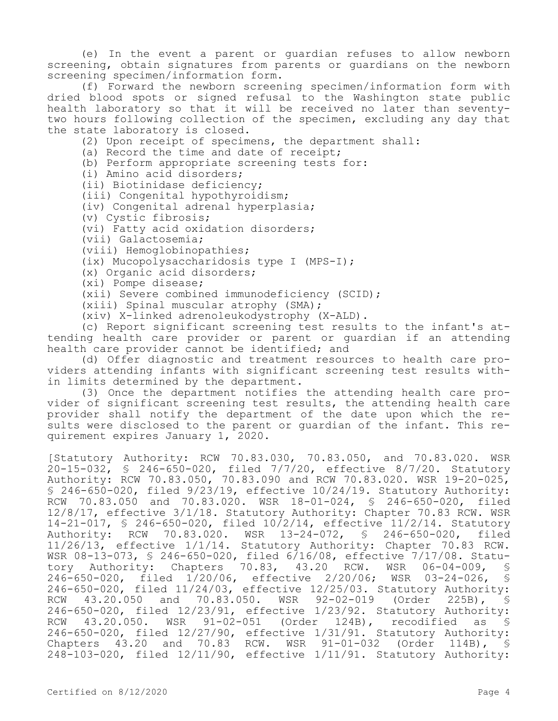(e) In the event a parent or guardian refuses to allow newborn screening, obtain signatures from parents or guardians on the newborn screening specimen/information form.

(f) Forward the newborn screening specimen/information form with dried blood spots or signed refusal to the Washington state public health laboratory so that it will be received no later than seventytwo hours following collection of the specimen, excluding any day that the state laboratory is closed.

(2) Upon receipt of specimens, the department shall:

(a) Record the time and date of receipt;

(b) Perform appropriate screening tests for:

(i) Amino acid disorders;

(ii) Biotinidase deficiency;

(iii) Congenital hypothyroidism;

(iv) Congenital adrenal hyperplasia;

(v) Cystic fibrosis;

(vi) Fatty acid oxidation disorders;

(vii) Galactosemia;

(viii) Hemoglobinopathies;

(ix) Mucopolysaccharidosis type I (MPS-I);

(x) Organic acid disorders;

(xi) Pompe disease;

(xii) Severe combined immunodeficiency (SCID);

(xiii) Spinal muscular atrophy (SMA);

(xiv) X-linked adrenoleukodystrophy (X-ALD).

(c) Report significant screening test results to the infant's attending health care provider or parent or guardian if an attending health care provider cannot be identified; and

(d) Offer diagnostic and treatment resources to health care providers attending infants with significant screening test results within limits determined by the department.

(3) Once the department notifies the attending health care provider of significant screening test results, the attending health care provider shall notify the department of the date upon which the results were disclosed to the parent or guardian of the infant. This requirement expires January 1, 2020.

[Statutory Authority: RCW 70.83.030, 70.83.050, and 70.83.020. WSR 20-15-032, § 246-650-020, filed 7/7/20, effective 8/7/20. Statutory Authority: RCW 70.83.050, 70.83.090 and RCW 70.83.020. WSR 19-20-025, § 246-650-020, filed 9/23/19, effective 10/24/19. Statutory Authority: RCW 70.83.050 and 70.83.020. WSR 18-01-024, § 246-650-020, filed 12/8/17, effective 3/1/18. Statutory Authority: Chapter 70.83 RCW. WSR 14-21-017, § 246-650-020, filed 10/2/14, effective 11/2/14. Statutory Authority: RCW 70.83.020. WSR 13-24-072, § 246-650-020, filed 11/26/13, effective 1/1/14. Statutory Authority: Chapter 70.83 RCW. WSR 08-13-073, § 246-650-020, filed 6/16/08, effective 7/17/08. Statutory Authority: Chapters 70.83, 43.20 RCW. WSR 06-04-009, § 246-650-020, filed 1/20/06, effective 2/20/06; WSR 03-24-026, § 246-650-020, filed 11/24/03, effective 12/25/03. Statutory Authority:<br>RCW 43.20.050 and 70.83.050. WSR 92-02-019 (Order 225B), § 43.20.050 and 70.83.050. WSR 92-02-019 (Order 225B), § 246-650-020, filed 12/23/91, effective 1/23/92. Statutory Authority: RCW 43.20.050. WSR 91-02-051 (Order 124B), recodified as § 246-650-020, filed 12/27/90, effective 1/31/91. Statutory Authority: Chapters 43.20 and 70.83 RCW. WSR 91-01-032 (Order 114B), § 248-103-020, filed 12/11/90, effective 1/11/91. Statutory Authority: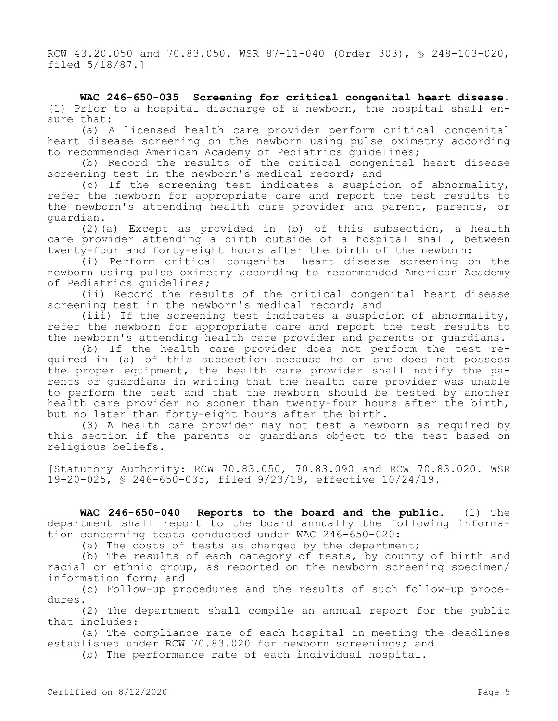RCW 43.20.050 and 70.83.050. WSR 87-11-040 (Order 303), § 248-103-020, filed 5/18/87.]

**WAC 246-650-035 Screening for critical congenital heart disease.**  (1) Prior to a hospital discharge of a newborn, the hospital shall ensure that:

(a) A licensed health care provider perform critical congenital heart disease screening on the newborn using pulse oximetry according to recommended American Academy of Pediatrics guidelines;

(b) Record the results of the critical congenital heart disease screening test in the newborn's medical record; and

(c) If the screening test indicates a suspicion of abnormality, refer the newborn for appropriate care and report the test results to the newborn's attending health care provider and parent, parents, or guardian.

(2)(a) Except as provided in (b) of this subsection, a health care provider attending a birth outside of a hospital shall, between twenty-four and forty-eight hours after the birth of the newborn:

(i) Perform critical congenital heart disease screening on the newborn using pulse oximetry according to recommended American Academy of Pediatrics guidelines;

(ii) Record the results of the critical congenital heart disease screening test in the newborn's medical record; and

(iii) If the screening test indicates a suspicion of abnormality, refer the newborn for appropriate care and report the test results to the newborn's attending health care provider and parents or guardians.

(b) If the health care provider does not perform the test required in (a) of this subsection because he or she does not possess the proper equipment, the health care provider shall notify the parents or guardians in writing that the health care provider was unable to perform the test and that the newborn should be tested by another health care provider no sooner than twenty-four hours after the birth, but no later than forty-eight hours after the birth.

(3) A health care provider may not test a newborn as required by this section if the parents or guardians object to the test based on religious beliefs.

[Statutory Authority: RCW 70.83.050, 70.83.090 and RCW 70.83.020. WSR 19-20-025, § 246-650-035, filed 9/23/19, effective 10/24/19.]

**WAC 246-650-040 Reports to the board and the public.** (1) The department shall report to the board annually the following information concerning tests conducted under WAC 246-650-020:

(a) The costs of tests as charged by the department;

(b) The results of each category of tests, by county of birth and racial or ethnic group, as reported on the newborn screening specimen/ information form; and

(c) Follow-up procedures and the results of such follow-up procedures.

(2) The department shall compile an annual report for the public that includes:

(a) The compliance rate of each hospital in meeting the deadlines established under RCW 70.83.020 for newborn screenings; and

(b) The performance rate of each individual hospital.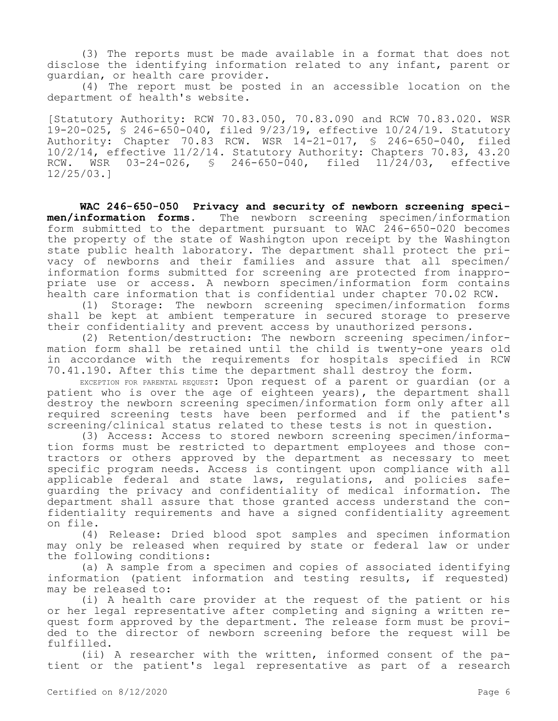(3) The reports must be made available in a format that does not disclose the identifying information related to any infant, parent or guardian, or health care provider.

(4) The report must be posted in an accessible location on the department of health's website.

[Statutory Authority: RCW 70.83.050, 70.83.090 and RCW 70.83.020. WSR 19-20-025, § 246-650-040, filed 9/23/19, effective 10/24/19. Statutory Authority: Chapter 70.83 RCW. WSR 14-21-017, § 246-650-040, filed 10/2/14, effective 11/2/14. Statutory Authority: Chapters 70.83, 43.20 RCW. WSR 03-24-026, § 246-650-040, filed 11/24/03, effective 12/25/03.]

**WAC 246-650-050 Privacy and security of newborn screening specimen/information forms.** The newborn screening specimen/information form submitted to the department pursuant to WAC 246-650-020 becomes the property of the state of Washington upon receipt by the Washington state public health laboratory. The department shall protect the privacy of newborns and their families and assure that all specimen/ information forms submitted for screening are protected from inappropriate use or access. A newborn specimen/information form contains health care information that is confidential under chapter 70.02 RCW.

(1) Storage: The newborn screening specimen/information forms shall be kept at ambient temperature in secured storage to preserve their confidentiality and prevent access by unauthorized persons.

(2) Retention/destruction: The newborn screening specimen/information form shall be retained until the child is twenty-one years old in accordance with the requirements for hospitals specified in RCW 70.41.190. After this time the department shall destroy the form.

EXCEPTION FOR PARENTAL REQUEST: Upon request of a parent or guardian (or a patient who is over the age of eighteen years), the department shall destroy the newborn screening specimen/information form only after all required screening tests have been performed and if the patient's screening/clinical status related to these tests is not in question.

(3) Access: Access to stored newborn screening specimen/information forms must be restricted to department employees and those contractors or others approved by the department as necessary to meet specific program needs. Access is contingent upon compliance with all applicable federal and state laws, regulations, and policies safeguarding the privacy and confidentiality of medical information. The department shall assure that those granted access understand the confidentiality requirements and have a signed confidentiality agreement on file.

(4) Release: Dried blood spot samples and specimen information may only be released when required by state or federal law or under the following conditions:

(a) A sample from a specimen and copies of associated identifying information (patient information and testing results, if requested) may be released to:

(i) A health care provider at the request of the patient or his or her legal representative after completing and signing a written request form approved by the department. The release form must be provided to the director of newborn screening before the request will be fulfilled.

(ii) A researcher with the written, informed consent of the patient or the patient's legal representative as part of a research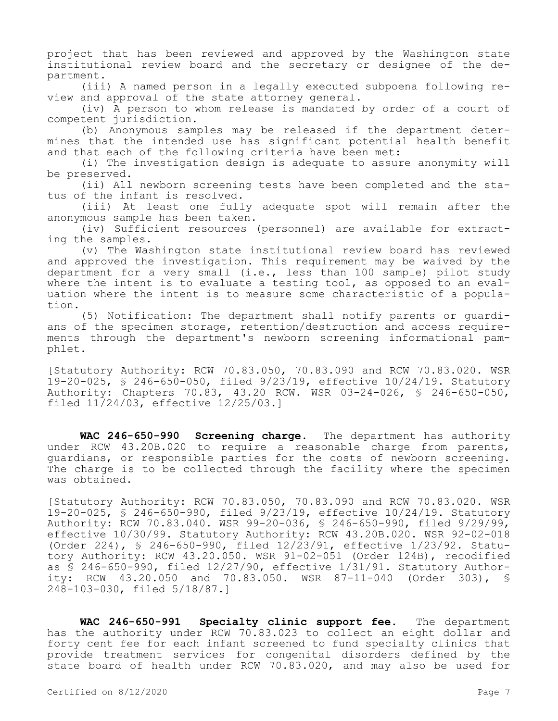project that has been reviewed and approved by the Washington state institutional review board and the secretary or designee of the department.

(iii) A named person in a legally executed subpoena following review and approval of the state attorney general.

(iv) A person to whom release is mandated by order of a court of competent jurisdiction.

(b) Anonymous samples may be released if the department determines that the intended use has significant potential health benefit and that each of the following criteria have been met:

(i) The investigation design is adequate to assure anonymity will be preserved.

(ii) All newborn screening tests have been completed and the status of the infant is resolved.

(iii) At least one fully adequate spot will remain after the anonymous sample has been taken.

(iv) Sufficient resources (personnel) are available for extracting the samples.

(v) The Washington state institutional review board has reviewed and approved the investigation. This requirement may be waived by the department for a very small (i.e., less than 100 sample) pilot study where the intent is to evaluate a testing tool, as opposed to an evaluation where the intent is to measure some characteristic of a population.

(5) Notification: The department shall notify parents or guardians of the specimen storage, retention/destruction and access requirements through the department's newborn screening informational pamphlet.

[Statutory Authority: RCW 70.83.050, 70.83.090 and RCW 70.83.020. WSR 19-20-025, § 246-650-050, filed 9/23/19, effective 10/24/19. Statutory Authority: Chapters 70.83, 43.20 RCW. WSR 03-24-026, § 246-650-050, filed 11/24/03, effective 12/25/03.]

**WAC 246-650-990 Screening charge.** The department has authority under RCW 43.20B.020 to require a reasonable charge from parents, guardians, or responsible parties for the costs of newborn screening. The charge is to be collected through the facility where the specimen was obtained.

[Statutory Authority: RCW 70.83.050, 70.83.090 and RCW 70.83.020. WSR 19-20-025, § 246-650-990, filed 9/23/19, effective 10/24/19. Statutory Authority: RCW 70.83.040. WSR 99-20-036, § 246-650-990, filed 9/29/99, effective 10/30/99. Statutory Authority: RCW 43.20B.020. WSR 92-02-018 (Order 224), § 246-650-990, filed 12/23/91, effective 1/23/92. Statutory Authority: RCW 43.20.050. WSR 91-02-051 (Order 124B), recodified as  $\frac{1}{5}$  246-650-990, filed 12/27/90, effective 1/31/91. Statutory Authority: RCW 43.20.050 and 70.83.050. WSR 87-11-040 (Order 303), § 248-103-030, filed 5/18/87.]

**WAC 246-650-991 Specialty clinic support fee.** The department has the authority under RCW 70.83.023 to collect an eight dollar and forty cent fee for each infant screened to fund specialty clinics that provide treatment services for congenital disorders defined by the state board of health under RCW 70.83.020, and may also be used for